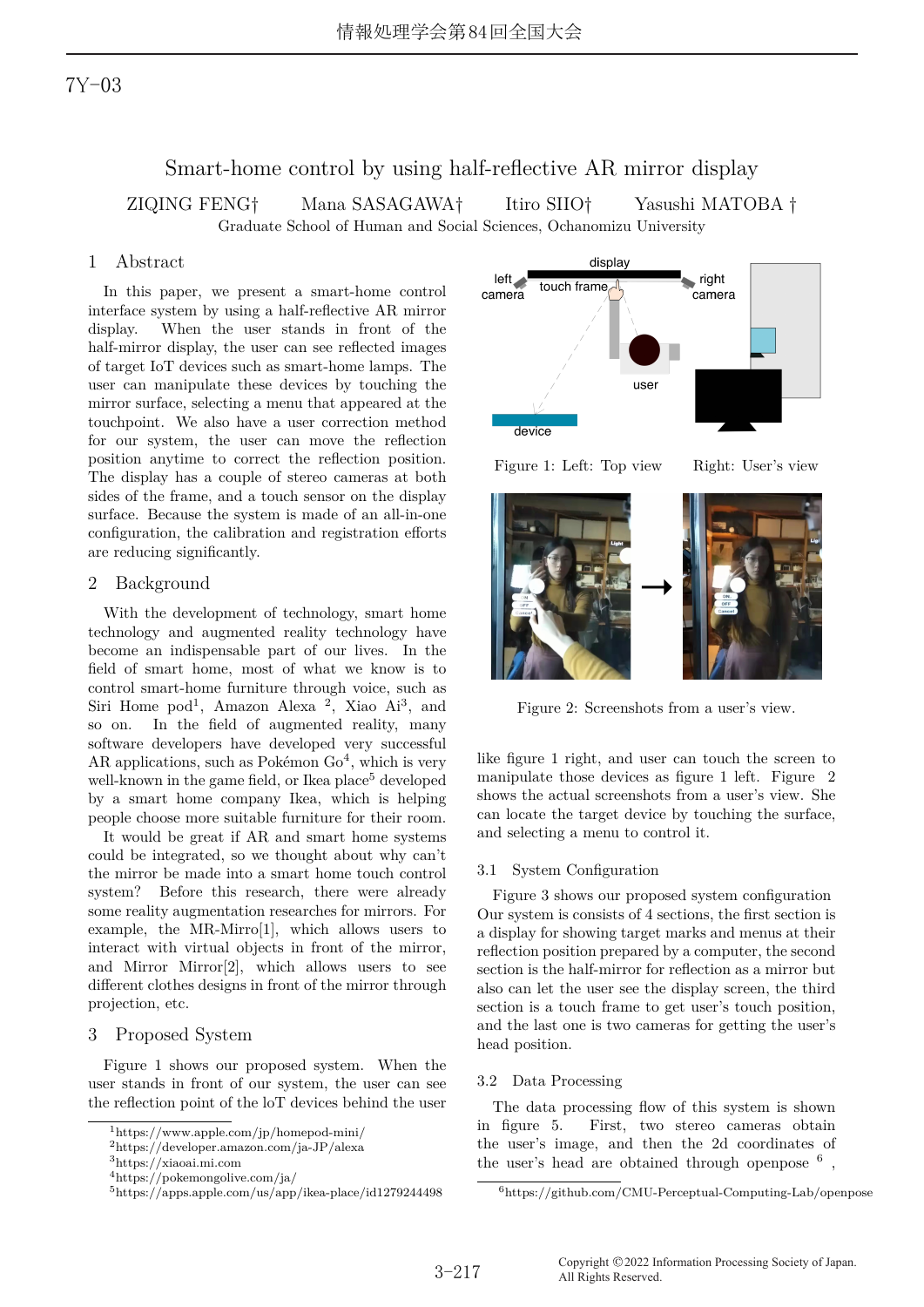# 7Y-03

# Smart-home control by using half-reflective AR mirror display

ZIQING FENG† Mana SASAGAWA† Itiro SIIO† Yasushi MATOBA†

Graduate School of Human and Social Sciences, Ochanomizu University

# 1 Abstract

In this paper, we present a smart-home control interface system by using a half-reflective AR mirror display. When the user stands in front of the half-mirror display, the user can see reflected images of target IoT devices such as smart-home lamps. The user can manipulate these devices by touching the mirror surface, selecting a menu that appeared at the touchpoint. We also have a user correction method for our system, the user can move the reflection position anytime to correct the reflection position. The display has a couple of stereo cameras at both sides of the frame, and a touch sensor on the display surface. Because the system is made of an all-in-one configuration, the calibration and registration efforts are reducing significantly.

### 2 Background

With the development of technology, smart home technology and augmented reality technology have become an indispensable part of our lives. In the field of smart home, most of what we know is to control smart-home furniture through voice, such as Siri Home pod<sup>1</sup>, Amazon Alexa<sup>2</sup>, Xiao Ai<sup>3</sup>, and so on. In the field of augmented reality, many software developers have developed very successful AR applications, such as Pokémon  $Go<sup>4</sup>$ , which is very well-known in the game field, or Ikea place<sup>5</sup> developed by a smart home company Ikea, which is helping people choose more suitable furniture for their room.

It would be great if AR and smart home systems could be integrated, so we thought about why can't the mirror be made into a smart home touch control system? Before this research, there were already some reality augmentation researches for mirrors. For example, the MR-Mirro[1], which allows users to interact with virtual objects in front of the mirror, and Mirror Mirror[2], which allows users to see different clothes designs in front of the mirror through projection, etc.

### 3 Proposed System

Figure 1 shows our proposed system. When the user stands in front of our system, the user can see the reflection point of the loT devices behind the user



 $^2$ https://developer.amazon.com/ja-JP/alexa



Figure 1: Left: Top view Right: User's view





Figure 2: Screenshots from a user's view.

like figure 1 right, and user can touch the screen to manipulate those devices as figure 1 left. Figure 2 shows the actual screenshots from a user's view. She can locate the target device by touching the surface, and selecting a menu to control it.

#### 3.1 System Configuration

Figure 3 shows our proposed system configuration Our system is consists of 4 sections, the first section is a display for showing target marks and menus at their reflection position prepared by a computer, the second section is the half-mirror for reflection as a mirror but also can let the user see the display screen, the third section is a touch frame to get user's touch position, and the last one is two cameras for getting the user's head position.

### 3.2 Data Processing

The data processing flow of this system is shown in figure 5. First, two stereo cameras obtain the user's image, and then the 2d coordinates of the user's head are obtained through openpose  $6$ ,

<sup>3</sup>https://xiaoai.mi.com

 $^4{\rm https://pokemongolive.com/ja/}$ 

 $5$ https://apps.apple.com/us/app/ikea-place/id1279244498

<sup>6</sup>https://github.com/CMU-Perceptual-Computing-Lab/openpose